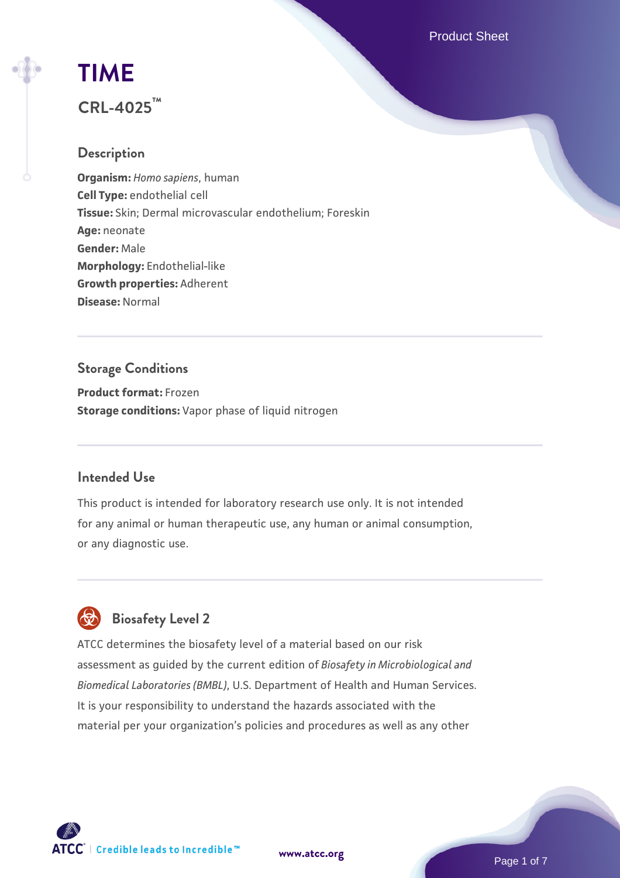Product Sheet

# **[TIME](https://www.atcc.org/products/crl-4025)**

## **CRL-4025™**

## **Description**

**Organism:** *Homo sapiens*, human **Cell Type:** endothelial cell **Tissue:** Skin; Dermal microvascular endothelium; Foreskin **Age:** neonate **Gender:** Male **Morphology:** Endothelial-like **Growth properties:** Adherent **Disease:** Normal

## **Storage Conditions**

**Product format:** Frozen **Storage conditions:** Vapor phase of liquid nitrogen

## **Intended Use**

This product is intended for laboratory research use only. It is not intended for any animal or human therapeutic use, any human or animal consumption, or any diagnostic use.



## **Biosafety Level 2**

ATCC determines the biosafety level of a material based on our risk assessment as guided by the current edition of *Biosafety in Microbiological and Biomedical Laboratories (BMBL)*, U.S. Department of Health and Human Services. It is your responsibility to understand the hazards associated with the material per your organization's policies and procedures as well as any other

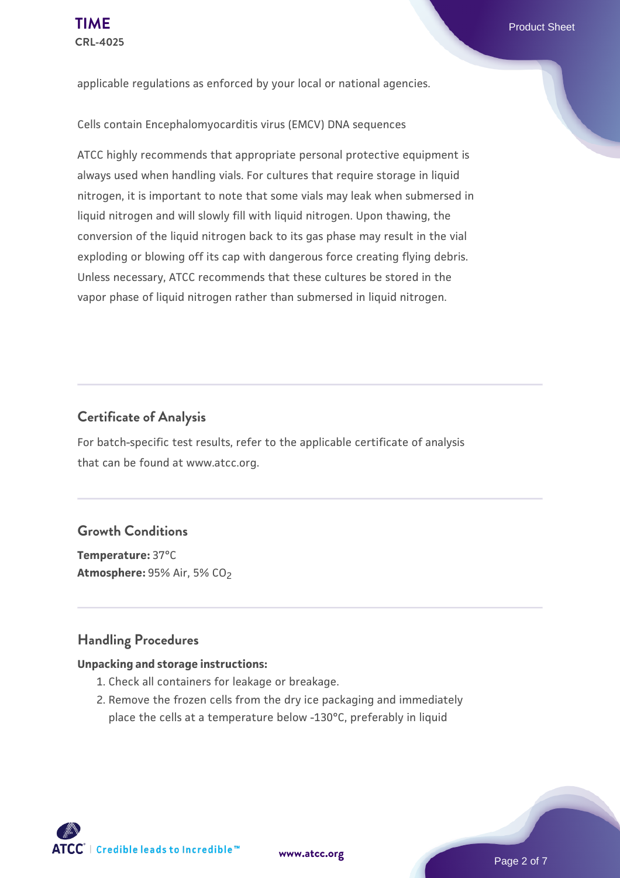applicable regulations as enforced by your local or national agencies.

Cells contain Encephalomyocarditis virus (EMCV) DNA sequences

ATCC highly recommends that appropriate personal protective equipment is always used when handling vials. For cultures that require storage in liquid nitrogen, it is important to note that some vials may leak when submersed in liquid nitrogen and will slowly fill with liquid nitrogen. Upon thawing, the conversion of the liquid nitrogen back to its gas phase may result in the vial exploding or blowing off its cap with dangerous force creating flying debris. Unless necessary, ATCC recommends that these cultures be stored in the vapor phase of liquid nitrogen rather than submersed in liquid nitrogen.

#### **Certificate of Analysis**

For batch-specific test results, refer to the applicable certificate of analysis that can be found at www.atcc.org.

#### **Growth Conditions**

**Temperature:** 37°C **Atmosphere: 95% Air, 5% CO<sub>2</sub>** 

#### **Handling Procedures**

#### **Unpacking and storage instructions:**

- 1. Check all containers for leakage or breakage.
- 2. Remove the frozen cells from the dry ice packaging and immediately place the cells at a temperature below -130°C, preferably in liquid

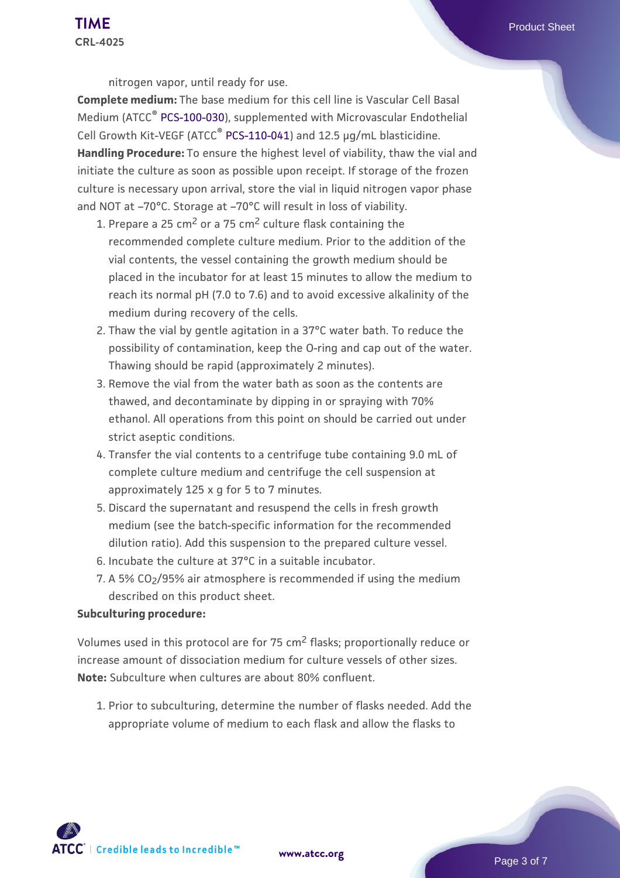nitrogen vapor, until ready for use.

**Complete medium:** The base medium for this cell line is Vascular Cell Basal Medium (ATCC<sup>®</sup> [PCS-100-030](https://www.atcc.org/products/pcs-100-030)), supplemented with Microvascular Endothelial Cell Growth Kit-VEGF (ATCC® [PCS-110-041](https://www.atcc.org/products/pcs-100-041)) and 12.5 µg/mL blasticidine. **Handling Procedure:** To ensure the highest level of viability, thaw the vial and initiate the culture as soon as possible upon receipt. If storage of the frozen culture is necessary upon arrival, store the vial in liquid nitrogen vapor phase and NOT at –70°C. Storage at –70°C will result in loss of viability.

- 1. Prepare a 25 cm<sup>2</sup> or a 75 cm<sup>2</sup> culture flask containing the recommended complete culture medium. Prior to the addition of the vial contents, the vessel containing the growth medium should be placed in the incubator for at least 15 minutes to allow the medium to reach its normal pH (7.0 to 7.6) and to avoid excessive alkalinity of the medium during recovery of the cells.
- 2. Thaw the vial by gentle agitation in a 37°C water bath. To reduce the possibility of contamination, keep the O-ring and cap out of the water. Thawing should be rapid (approximately 2 minutes).
- 3. Remove the vial from the water bath as soon as the contents are thawed, and decontaminate by dipping in or spraying with 70% ethanol. All operations from this point on should be carried out under strict aseptic conditions.
- 4. Transfer the vial contents to a centrifuge tube containing 9.0 mL of complete culture medium and centrifuge the cell suspension at approximately 125 x g for 5 to 7 minutes.
- Discard the supernatant and resuspend the cells in fresh growth 5. medium (see the batch-specific information for the recommended dilution ratio). Add this suspension to the prepared culture vessel.
- 6. Incubate the culture at 37°C in a suitable incubator.
- $7.$  A 5% CO $_2$ /95% air atmosphere is recommended if using the medium  $\,$ described on this product sheet.

#### **Subculturing procedure:**

Volumes used in this protocol are for 75 cm2 flasks; proportionally reduce or increase amount of dissociation medium for culture vessels of other sizes. **Note:** Subculture when cultures are about 80% confluent.

1. Prior to subculturing, determine the number of flasks needed. Add the appropriate volume of medium to each flask and allow the flasks to

 $\mathsf{ATCC}^*$  | Credible leads to Incredible  $\mathbbm{m}$ 

**[www.atcc.org](http://www.atcc.org)**

Page 3 of 7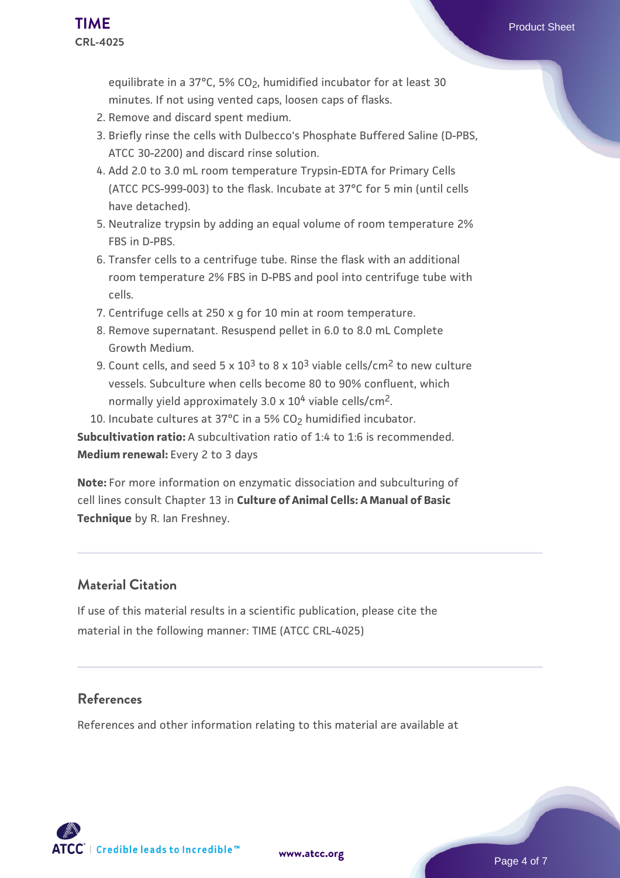equilibrate in a 37°C, 5% CO2, humidified incubator for at least 30 minutes. If not using vented caps, loosen caps of flasks.

- 2. Remove and discard spent medium.
- Briefly rinse the cells with Dulbecco's Phosphate Buffered Saline (D-PBS, 3. ATCC 30-2200) and discard rinse solution.
- 4. Add 2.0 to 3.0 mL room temperature Trypsin-EDTA for Primary Cells (ATCC PCS-999-003) to the flask. Incubate at 37°C for 5 min (until cells have detached).
- Neutralize trypsin by adding an equal volume of room temperature 2% 5. FBS in D-PBS.
- 6. Transfer cells to a centrifuge tube. Rinse the flask with an additional room temperature 2% FBS in D-PBS and pool into centrifuge tube with cells.
- 7. Centrifuge cells at 250 x g for 10 min at room temperature.
- 8. Remove supernatant. Resuspend pellet in 6.0 to 8.0 mL Complete Growth Medium.
- 9. Count cells, and seed 5 x 10<sup>3</sup> to 8 x 10<sup>3</sup> viable cells/cm<sup>2</sup> to new culture vessels. Subculture when cells become 80 to 90% confluent, which normally yield approximately  $3.0 \times 10^4$  viable cells/cm<sup>2</sup>.
- 10. Incubate cultures at 37°C in a 5% CO<sub>2</sub> humidified incubator.

**Subcultivation ratio:** A subcultivation ratio of 1:4 to 1:6 is recommended. **Medium renewal:** Every 2 to 3 days

**Note:** For more information on enzymatic dissociation and subculturing of cell lines consult Chapter 13 in **Culture of Animal Cells: A Manual of Basic Technique** by R. Ian Freshney.

#### **Material Citation**

If use of this material results in a scientific publication, please cite the material in the following manner: TIME (ATCC CRL-4025)

#### **References**

References and other information relating to this material are available at

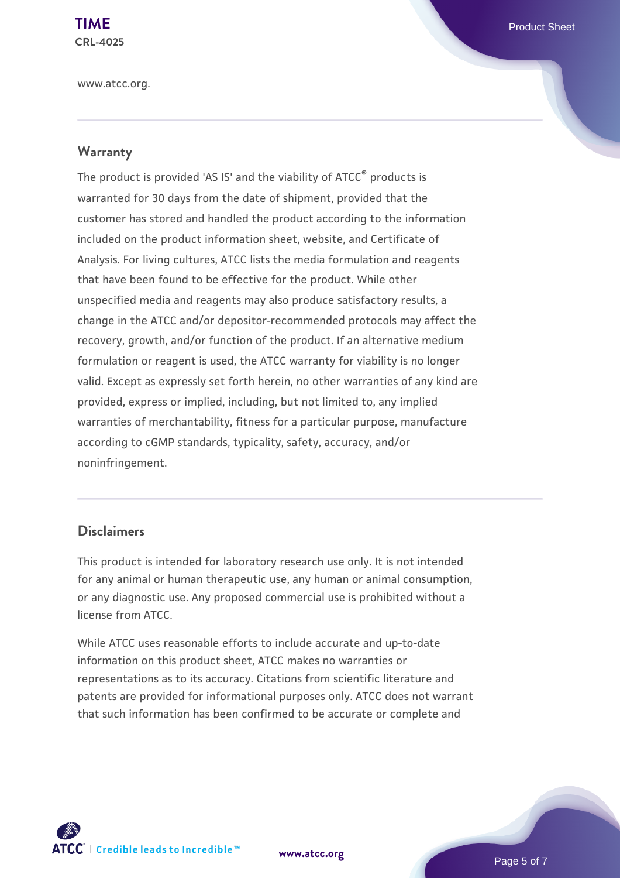www.atcc.org.

#### **Warranty**

The product is provided 'AS IS' and the viability of ATCC® products is warranted for 30 days from the date of shipment, provided that the customer has stored and handled the product according to the information included on the product information sheet, website, and Certificate of Analysis. For living cultures, ATCC lists the media formulation and reagents that have been found to be effective for the product. While other unspecified media and reagents may also produce satisfactory results, a change in the ATCC and/or depositor-recommended protocols may affect the recovery, growth, and/or function of the product. If an alternative medium formulation or reagent is used, the ATCC warranty for viability is no longer valid. Except as expressly set forth herein, no other warranties of any kind are provided, express or implied, including, but not limited to, any implied warranties of merchantability, fitness for a particular purpose, manufacture according to cGMP standards, typicality, safety, accuracy, and/or noninfringement.

#### **Disclaimers**

This product is intended for laboratory research use only. It is not intended for any animal or human therapeutic use, any human or animal consumption, or any diagnostic use. Any proposed commercial use is prohibited without a license from ATCC.

While ATCC uses reasonable efforts to include accurate and up-to-date information on this product sheet, ATCC makes no warranties or representations as to its accuracy. Citations from scientific literature and patents are provided for informational purposes only. ATCC does not warrant that such information has been confirmed to be accurate or complete and



**[www.atcc.org](http://www.atcc.org)**

Page 5 of 7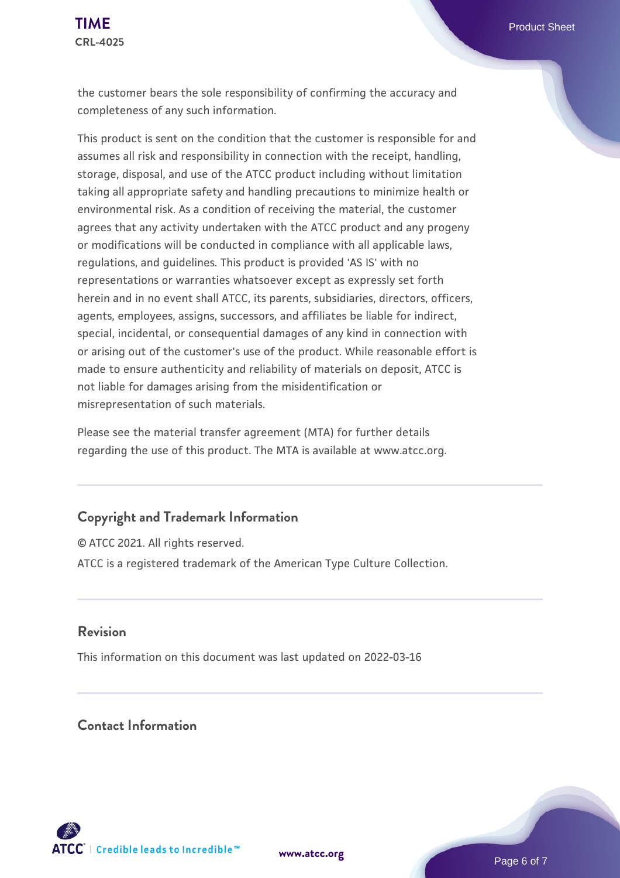the customer bears the sole responsibility of confirming the accuracy and completeness of any such information.

This product is sent on the condition that the customer is responsible for and assumes all risk and responsibility in connection with the receipt, handling, storage, disposal, and use of the ATCC product including without limitation taking all appropriate safety and handling precautions to minimize health or environmental risk. As a condition of receiving the material, the customer agrees that any activity undertaken with the ATCC product and any progeny or modifications will be conducted in compliance with all applicable laws, regulations, and guidelines. This product is provided 'AS IS' with no representations or warranties whatsoever except as expressly set forth herein and in no event shall ATCC, its parents, subsidiaries, directors, officers, agents, employees, assigns, successors, and affiliates be liable for indirect, special, incidental, or consequential damages of any kind in connection with or arising out of the customer's use of the product. While reasonable effort is made to ensure authenticity and reliability of materials on deposit, ATCC is not liable for damages arising from the misidentification or misrepresentation of such materials.

Please see the material transfer agreement (MTA) for further details regarding the use of this product. The MTA is available at www.atcc.org.

#### **Copyright and Trademark Information**

© ATCC 2021. All rights reserved. ATCC is a registered trademark of the American Type Culture Collection.

#### **Revision**

This information on this document was last updated on 2022-03-16

## **Contact Information**